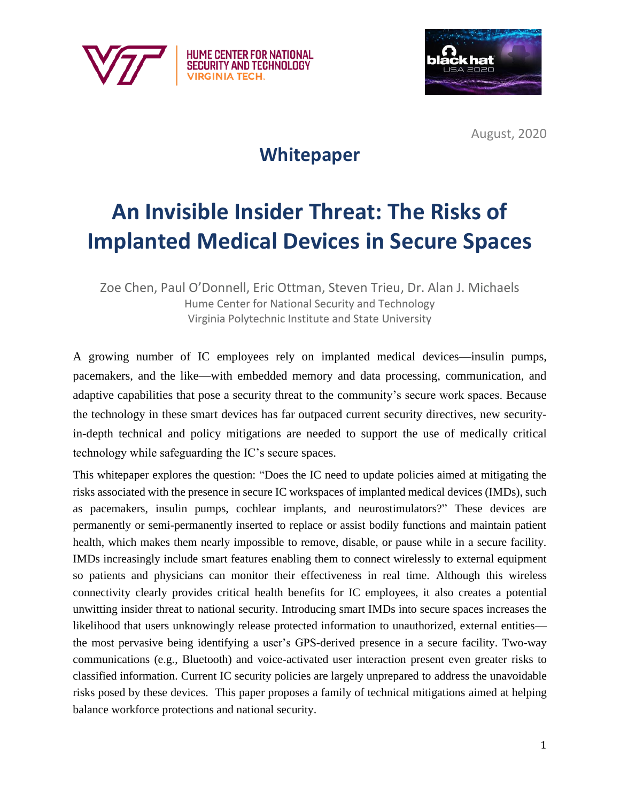



August, 2020

## **Whitepaper**

# **An Invisible Insider Threat: The Risks of Implanted Medical Devices in Secure Spaces**

Zoe Chen, Paul O'Donnell, Eric Ottman, Steven Trieu, Dr. Alan J. Michaels Hume Center for National Security and Technology Virginia Polytechnic Institute and State University

A growing number of IC employees rely on implanted medical devices—insulin pumps, pacemakers, and the like—with embedded memory and data processing, communication, and adaptive capabilities that pose a security threat to the community's secure work spaces. Because the technology in these smart devices has far outpaced current security directives, new securityin-depth technical and policy mitigations are needed to support the use of medically critical technology while safeguarding the IC's secure spaces.

This whitepaper explores the question: "Does the IC need to update policies aimed at mitigating the risks associated with the presence in secure IC workspaces of implanted medical devices (IMDs), such as pacemakers, insulin pumps, cochlear implants, and neurostimulators?" These devices are permanently or semi-permanently inserted to replace or assist bodily functions and maintain patient health, which makes them nearly impossible to remove, disable, or pause while in a secure facility. IMDs increasingly include smart features enabling them to connect wirelessly to external equipment so patients and physicians can monitor their effectiveness in real time. Although this wireless connectivity clearly provides critical health benefits for IC employees, it also creates a potential unwitting insider threat to national security. Introducing smart IMDs into secure spaces increases the likelihood that users unknowingly release protected information to unauthorized, external entities the most pervasive being identifying a user's GPS-derived presence in a secure facility. Two-way communications (e.g., Bluetooth) and voice-activated user interaction present even greater risks to classified information. Current IC security policies are largely unprepared to address the unavoidable risks posed by these devices. This paper proposes a family of technical mitigations aimed at helping balance workforce protections and national security.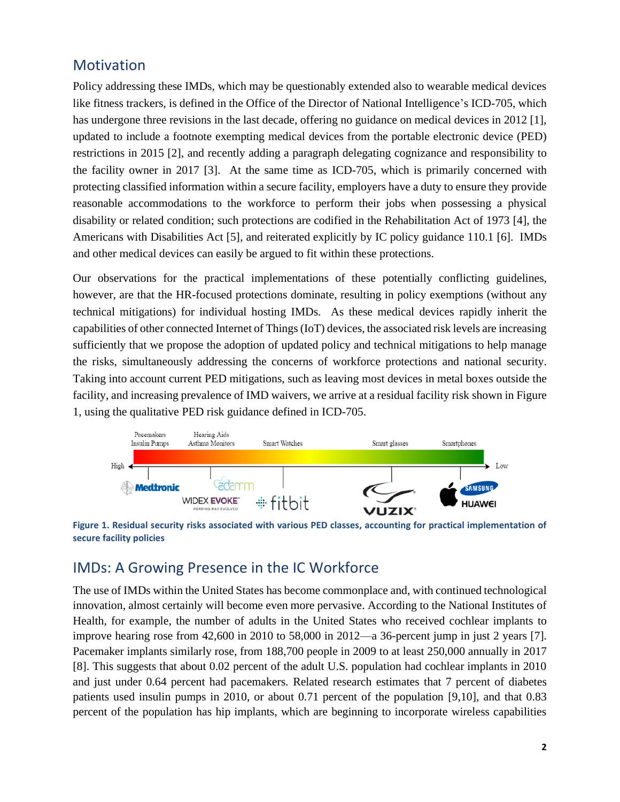#### Motivation

Policy addressing these IMDs, which may be questionably extended also to wearable medical devices like fitness trackers, is defined in the Office of the Director of National Intelligence's ICD-705, which has undergone three revisions in the last decade, offering no guidance on medical devices in 2012 [1], updated to include a footnote exempting medical devices from the portable electronic device (PED) restrictions in 2015 [2], and recently adding a paragraph delegating cognizance and responsibility to the facility owner in 2017 [3]. At the same time as ICD-705, which is primarily concerned with protecting classified information within a secure facility, employers have a duty to ensure they provide reasonable accommodations to the workforce to perform their jobs when possessing a physical disability or related condition; such protections are codified in the Rehabilitation Act of 1973 [4], the Americans with Disabilities Act [5], and reiterated explicitly by IC policy guidance 110.1 [6]. IMDs and other medical devices can easily be argued to fit within these protections.

Our observations for the practical implementations of these potentially conflicting guidelines, however, are that the HR-focused protections dominate, resulting in policy exemptions (without any technical mitigations) for individual hosting IMDs. As these medical devices rapidly inherit the capabilities of other connected Internet of Things (IoT) devices, the associated risk levels are increasing sufficiently that we propose the adoption of updated policy and technical mitigations to help manage the risks, simultaneously addressing the concerns of workforce protections and national security. Taking into account current PED mitigations, such as leaving most devices in metal boxes outside the facility, and increasing prevalence of IMD waivers, we arrive at a residual facility risk shown in Figure 1, using the qualitative PED risk guidance defined in ICD-705.



**Figure 1. Residual security risks associated with various PED classes, accounting for practical implementation of secure facility policies**

#### IMDs: A Growing Presence in the IC Workforce

The use of IMDs within the United States has become commonplace and, with continued technological innovation, almost certainly will become even more pervasive. According to the National Institutes of Health, for example, the number of adults in the United States who received cochlear implants to improve hearing rose from 42,600 in 2010 to 58,000 in 2012—a 36-percent jump in just 2 years [7]. Pacemaker implants similarly rose, from 188,700 people in 2009 to at least 250,000 annually in 2017 [8]. This suggests that about 0.02 percent of the adult U.S. population had cochlear implants in 2010 and just under 0.64 percent had pacemakers. Related research estimates that 7 percent of diabetes patients used insulin pumps in 2010, or about 0.71 percent of the population [9,10], and that 0.83 percent of the population has hip implants, which are beginning to incorporate wireless capabilities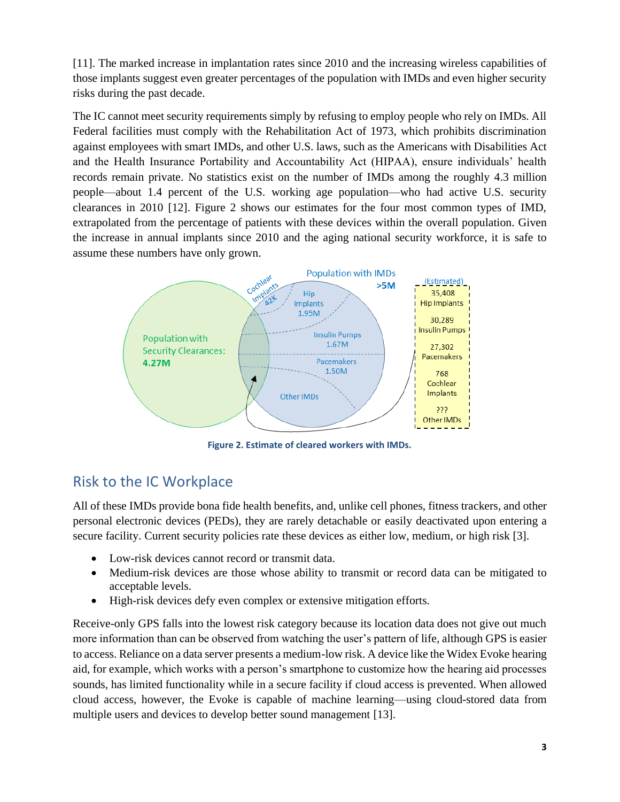[11]. The marked increase in implantation rates since 2010 and the increasing wireless capabilities of those implants suggest even greater percentages of the population with IMDs and even higher security risks during the past decade.

The IC cannot meet security requirements simply by refusing to employ people who rely on IMDs. All Federal facilities must comply with the Rehabilitation Act of 1973, which prohibits discrimination against employees with smart IMDs, and other U.S. laws, such as the Americans with Disabilities Act and the Health Insurance Portability and Accountability Act (HIPAA), ensure individuals' health records remain private. No statistics exist on the number of IMDs among the roughly 4.3 million people—about 1.4 percent of the U.S. working age population—who had active U.S. security clearances in 2010 [12]. Figure 2 shows our estimates for the four most common types of IMD, extrapolated from the percentage of patients with these devices within the overall population. Given the increase in annual implants since 2010 and the aging national security workforce, it is safe to assume these numbers have only grown.



**Figure 2. Estimate of cleared workers with IMDs.**

### Risk to the IC Workplace

All of these IMDs provide bona fide health benefits, and, unlike cell phones, fitness trackers, and other personal electronic devices (PEDs), they are rarely detachable or easily deactivated upon entering a secure facility. Current security policies rate these devices as either low, medium, or high risk [3].

- Low-risk devices cannot record or transmit data.
- Medium-risk devices are those whose ability to transmit or record data can be mitigated to acceptable levels.
- High-risk devices defy even complex or extensive mitigation efforts.

Receive-only GPS falls into the lowest risk category because its location data does not give out much more information than can be observed from watching the user's pattern of life, although GPS is easier to access. Reliance on a data server presents a medium-low risk. A device like the Widex Evoke hearing aid, for example, which works with a person's smartphone to customize how the hearing aid processes sounds, has limited functionality while in a secure facility if cloud access is prevented. When allowed cloud access, however, the Evoke is capable of machine learning—using cloud-stored data from multiple users and devices to develop better sound management [13].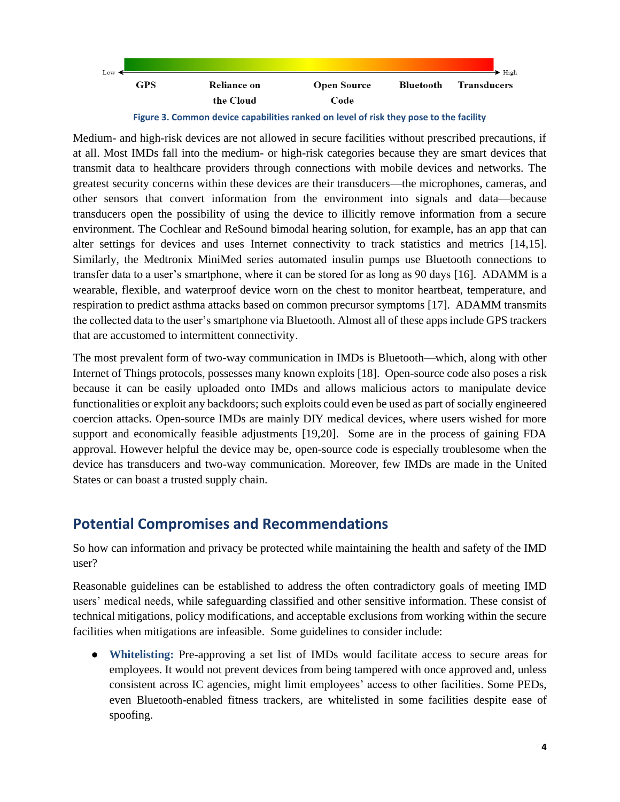

**Figure 3. Common device capabilities ranked on level of risk they pose to the facility**

Medium- and high-risk devices are not allowed in secure facilities without prescribed precautions, if at all. Most IMDs fall into the medium- or high-risk categories because they are smart devices that transmit data to healthcare providers through connections with mobile devices and networks. The greatest security concerns within these devices are their transducers—the microphones, cameras, and other sensors that convert information from the environment into signals and data—because transducers open the possibility of using the device to illicitly remove information from a secure environment. The Cochlear and ReSound bimodal hearing solution, for example, has an app that can alter settings for devices and uses Internet connectivity to track statistics and metrics [14,15]. Similarly, the Medtronix MiniMed series automated insulin pumps use Bluetooth connections to transfer data to a user's smartphone, where it can be stored for as long as 90 days [16]. ADAMM is a wearable, flexible, and waterproof device worn on the chest to monitor heartbeat, temperature, and respiration to predict asthma attacks based on common precursor symptoms [17]. ADAMM transmits the collected data to the user's smartphone via Bluetooth. Almost all of these apps include GPS trackers that are accustomed to intermittent connectivity.

The most prevalent form of two-way communication in IMDs is Bluetooth—which, along with other Internet of Things protocols, possesses many known exploits [18]. Open-source code also poses a risk because it can be easily uploaded onto IMDs and allows malicious actors to manipulate device functionalities or exploit any backdoors; such exploits could even be used as part of socially engineered coercion attacks. Open-source IMDs are mainly DIY medical devices, where users wished for more support and economically feasible adjustments [19,20]. Some are in the process of gaining FDA approval. However helpful the device may be, open-source code is especially troublesome when the device has transducers and two-way communication. Moreover, few IMDs are made in the United States or can boast a trusted supply chain.

#### **Potential Compromises and Recommendations**

So how can information and privacy be protected while maintaining the health and safety of the IMD user?

Reasonable guidelines can be established to address the often contradictory goals of meeting IMD users' medical needs, while safeguarding classified and other sensitive information. These consist of technical mitigations, policy modifications, and acceptable exclusions from working within the secure facilities when mitigations are infeasible. Some guidelines to consider include:

● **Whitelisting:** Pre-approving a set list of IMDs would facilitate access to secure areas for employees. It would not prevent devices from being tampered with once approved and, unless consistent across IC agencies, might limit employees' access to other facilities. Some PEDs, even Bluetooth-enabled fitness trackers, are whitelisted in some facilities despite ease of spoofing.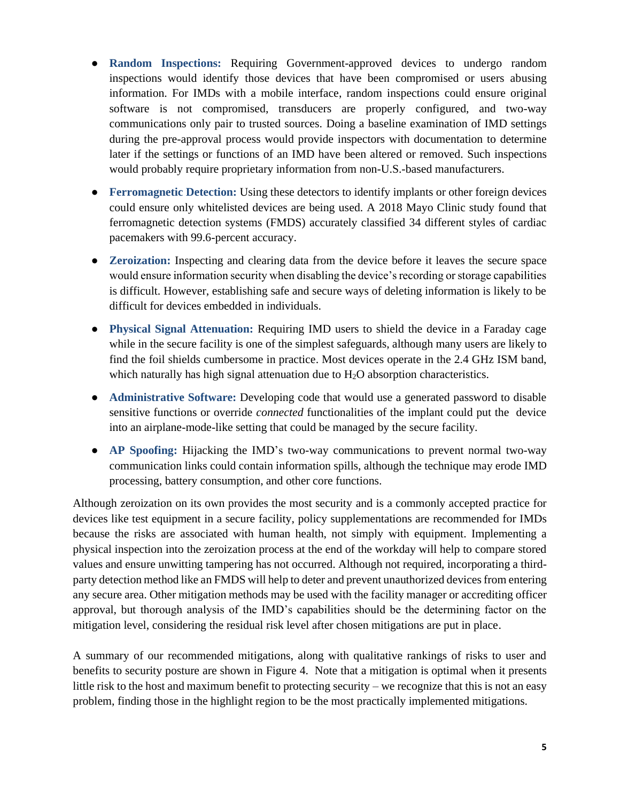- **Random Inspections:** Requiring Government-approved devices to undergo random inspections would identify those devices that have been compromised or users abusing information. For IMDs with a mobile interface, random inspections could ensure original software is not compromised, transducers are properly configured, and two-way communications only pair to trusted sources. Doing a baseline examination of IMD settings during the pre-approval process would provide inspectors with documentation to determine later if the settings or functions of an IMD have been altered or removed. Such inspections would probably require proprietary information from non-U.S.-based manufacturers.
- **Ferromagnetic Detection:** Using these detectors to identify implants or other foreign devices could ensure only whitelisted devices are being used. A 2018 Mayo Clinic study found that ferromagnetic detection systems (FMDS) accurately classified 34 different styles of cardiac pacemakers with 99.6-percent accuracy.
- **Zeroization:** Inspecting and clearing data from the device before it leaves the secure space would ensure information security when disabling the device's recording or storage capabilities is difficult. However, establishing safe and secure ways of deleting information is likely to be difficult for devices embedded in individuals.
- **Physical Signal Attenuation:** Requiring IMD users to shield the device in a Faraday cage while in the secure facility is one of the simplest safeguards, although many users are likely to find the foil shields cumbersome in practice. Most devices operate in the 2.4 GHz ISM band, which naturally has high signal attenuation due to  $H_2O$  absorption characteristics.
- **Administrative Software:** Developing code that would use a generated password to disable sensitive functions or override *connected* functionalities of the implant could put the device into an airplane-mode-like setting that could be managed by the secure facility.
- **AP Spoofing:** Hijacking the IMD's two-way communications to prevent normal two-way communication links could contain information spills, although the technique may erode IMD processing, battery consumption, and other core functions.

Although zeroization on its own provides the most security and is a commonly accepted practice for devices like test equipment in a secure facility, policy supplementations are recommended for IMDs because the risks are associated with human health, not simply with equipment. Implementing a physical inspection into the zeroization process at the end of the workday will help to compare stored values and ensure unwitting tampering has not occurred. Although not required, incorporating a thirdparty detection method like an FMDS will help to deter and prevent unauthorized devices from entering any secure area. Other mitigation methods may be used with the facility manager or accrediting officer approval, but thorough analysis of the IMD's capabilities should be the determining factor on the mitigation level, considering the residual risk level after chosen mitigations are put in place.

A summary of our recommended mitigations, along with qualitative rankings of risks to user and benefits to security posture are shown in Figure 4. Note that a mitigation is optimal when it presents little risk to the host and maximum benefit to protecting security – we recognize that this is not an easy problem, finding those in the highlight region to be the most practically implemented mitigations.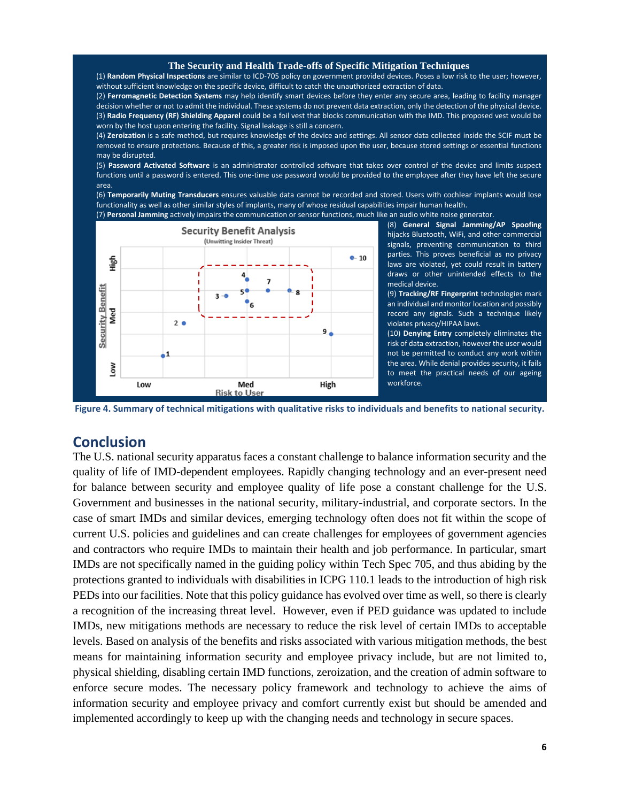#### **The Security and Health Trade-offs of Specific Mitigation Techniques**

(1) **Random Physical Inspections** are similar to ICD-705 policy on government provided devices. Poses a low risk to the user; however, without sufficient knowledge on the specific device, difficult to catch the unauthorized extraction of data.

(2) **Ferromagnetic Detection Systems** may help identify smart devices before they enter any secure area, leading to facility manager decision whether or not to admit the individual. These systems do not prevent data extraction, only the detection of the physical device. (3) **Radio Frequency (RF) Shielding Apparel** could be a foil vest that blocks communication with the IMD. This proposed vest would be worn by the host upon entering the facility. Signal leakage is still a concern.

(4) **Zeroization** is a safe method, but requires knowledge of the device and settings. All sensor data collected inside the SCIF must be removed to ensure protections. Because of this, a greater risk is imposed upon the user, because stored settings or essential functions may be disrupted.

(5) **Password Activated Software** is an administrator controlled software that takes over control of the device and limits suspect functions until a password is entered. This one-time use password would be provided to the employee after they have left the secure area.

(6) **Temporarily Muting Transducers** ensures valuable data cannot be recorded and stored. Users with cochlear implants would lose functionality as well as other similar styles of implants, many of whose residual capabilities impair human health. (7) **Personal Jamming** actively impairs the communication or sensor functions, much like an audio white noise generator.



(8) **General Signal Jamming/AP Spoofing** hijacks Bluetooth, WiFi, and other commercial signals, preventing communication to third parties. This proves beneficial as no privacy laws are violated, yet could result in battery draws or other unintended effects to the medical device.

(9) **Tracking/RF Fingerprint** technologies mark an individual and monitor location and possibly record any signals. Such a technique likely violates privacy/HIPAA laws.

(10) **Denying Entry** completely eliminates the risk of data extraction, however the user would not be permitted to conduct any work within the area. While denial provides security, it fails to meet the practical needs of our ageing workforce.



#### **Conclusion**

The U.S. national security apparatus faces a constant challenge to balance information security and the quality of life of IMD-dependent employees. Rapidly changing technology and an ever-present need for balance between security and employee quality of life pose a constant challenge for the U.S. Government and businesses in the national security, military-industrial, and corporate sectors. In the case of smart IMDs and similar devices, emerging technology often does not fit within the scope of current U.S. policies and guidelines and can create challenges for employees of government agencies and contractors who require IMDs to maintain their health and job performance. In particular, smart IMDs are not specifically named in the guiding policy within Tech Spec 705, and thus abiding by the protections granted to individuals with disabilities in ICPG 110.1 leads to the introduction of high risk PEDs into our facilities. Note that this policy guidance has evolved over time as well, so there is clearly a recognition of the increasing threat level. However, even if PED guidance was updated to include IMDs, new mitigations methods are necessary to reduce the risk level of certain IMDs to acceptable levels. Based on analysis of the benefits and risks associated with various mitigation methods, the best means for maintaining information security and employee privacy include, but are not limited to, physical shielding, disabling certain IMD functions, zeroization, and the creation of admin software to enforce secure modes. The necessary policy framework and technology to achieve the aims of information security and employee privacy and comfort currently exist but should be amended and implemented accordingly to keep up with the changing needs and technology in secure spaces.